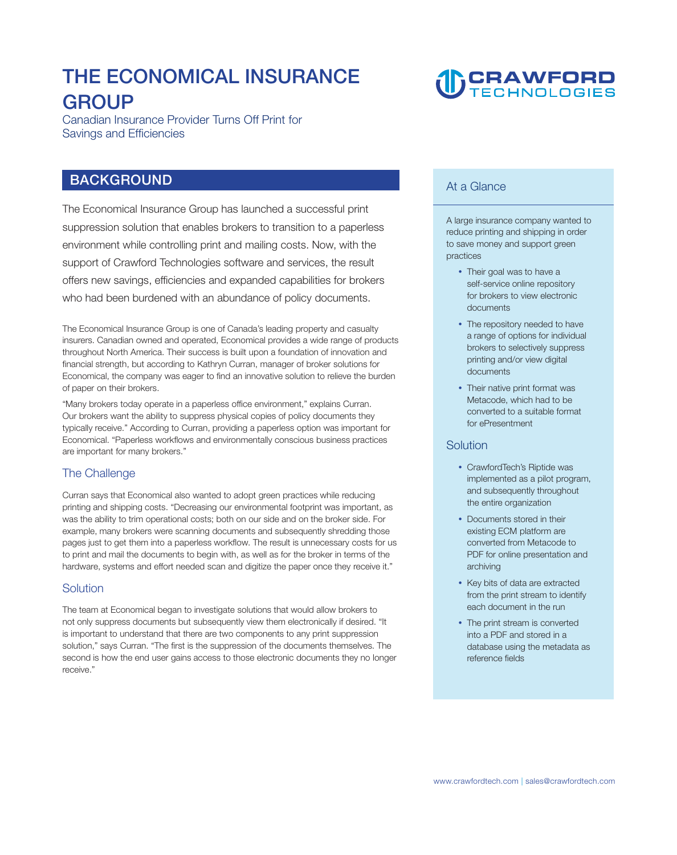## **THE ECONOMICAL INSURANCE GROUP**

**Canadian Insurance Provider Turns Off Print for Savings and Efficiencies** 

### **BACKGROUND**

**The Economical Insurance Group has launched a successful print suppression solution that enables brokers to transition to a paperless environment while controlling print and mailing costs. Now, with the support of Crawford Technologies software and services, the result offers new savings, efficiencies and expanded capabilities for brokers who had been burdened with an abundance of policy documents.** 

**The Economical Insurance Group is one of Canada's leading property and casualty insurers. Canadian owned and operated, Economical provides a wide range of products throughout North America. Their success is built upon a foundation of innovation and financial strength, but according to Kathryn Curran, manager of broker solutions for Economical, the company was eager to find an innovative solution to relieve the burden of paper on their brokers.** 

**"Many brokers today operate in a paperless office environment," explains Curran. Our brokers want the ability to suppress physical copies of policy documents they typically receive." According to Curran, providing a paperless option was important for Economical. "Paperless workflows and environmentally conscious business practices are important for many brokers."** 

### **The Challenge**

**Curran says that Economical also wanted to adopt green practices while reducing printing and shipping costs. "Decreasing our environmental footprint was important, as was the ability to trim operational costs; both on our side and on the broker side. For example, many brokers were scanning documents and subsequently shredding those pages just to get them into a paperless workflow. The result is unnecessary costs for us to print and mail the documents to begin with, as well as for the broker in terms of the hardware, systems and effort needed scan and digitize the paper once they receive it."** 

#### **Solution**

**The team at Economical began to investigate solutions that would allow brokers to not only suppress documents but subsequently view them electronically if desired. "It is important to understand that there are two components to any print suppression solution," says Curran. "The first is the suppression of the documents themselves. The second is how the end user gains access to those electronic documents they no longer receive."** 

# **CRAWFORD**

### **At a Glance**

**A large insurance company wanted to reduce printing and shipping in order to save money and support green practices** 

- Their goal was to have a **self-service online repository for brokers to view electronic documents**
- The repository needed to have **a range of options for individual brokers to selectively suppress printing and/or view digital documents**
- Their native print format was **Metacode, which had to be converted to a suitable format for ePresentment**

#### **Solution**

- CrawfordTech's Riptide was **implemented as a pilot program, and subsequently throughout the entire organization**
- **Documents stored in their existing ECM platform are converted from Metacode to PDF for online presentation and archiving**
- Key bits of data are extracted **from the print stream to identify each document in the run**
- The print stream is converted **into a PDF and stored in a database using the metadata as reference fields**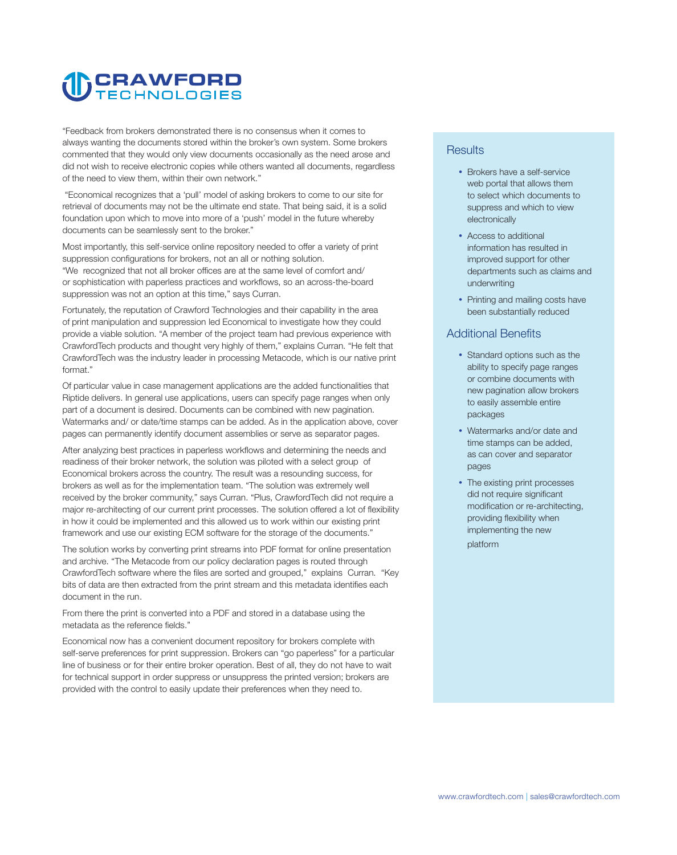# **CRAWFORD**

**"Feedback from brokers demonstrated there is no consensus when it comes to always wanting the documents stored within the broker's own system. Some brokers commented that they would only view documents occasionally as the need arose and did not wish to receive electronic copies while others wanted all documents, regardless of the need to view them, within their own network."**

**"Economical recognizes that a 'pull' model of asking brokers to come to our site for retrieval of documents may not be the ultimate end state. That being said, it is a solid foundation upon which to move into more of a 'push' model in the future whereby documents can be seamlessly sent to the broker."** 

**Most importantly, this self-service online repository needed to offer a variety of print suppression configurations for brokers, not an all or nothing solution. "We recognized that not all broker offices are at the same level of comfort and/ or sophistication with paperless practices and workflows, so an across-the-board suppression was not an option at this time," says Curran.** 

**Fortunately, the reputation of Crawford Technologies and their capability in the area of print manipulation and suppression led Economical to investigate how they could provide a viable solution. "A member of the project team had previous experience with CrawfordTech products and thought very highly of them," explains Curran. "He felt that CrawfordTech was the industry leader in processing Metacode, which is our native print format."** 

**Of particular value in case management applications are the added functionalities that Riptide delivers. In general use applications, users can specify page ranges when only part of a document is desired. Documents can be combined with new pagination. Watermarks and/ or date/time stamps can be added. As in the application above, cover pages can permanently identify document assemblies or serve as separator pages.** 

**After analyzing best practices in paperless workflows and determining the needs and readiness of their broker network, the solution was piloted with a select group of Economical brokers across the country. The result was a resounding success, for brokers as well as for the implementation team. "The solution was extremely well received by the broker community," says Curran. "Plus, CrawfordTech did not require a major re-architecting of our current print processes. The solution offered a lot of flexibility in how it could be implemented and this allowed us to work within our existing print framework and use our existing ECM software for the storage of the documents."** 

**The solution works by converting print streams into PDF format for online presentation and archive. "The Metacode from our policy declaration pages is routed through CrawfordTech software where the files are sorted and grouped," explains Curran. "Key bits of data are then extracted from the print stream and this metadata identifies each document in the run.** 

**From there the print is converted into a PDF and stored in a database using the metadata as the reference fields."** 

**Economical now has a convenient document repository for brokers complete with self-serve preferences for print suppression. Brokers can "go paperless" for a particular line of business or for their entire broker operation. Best of all, they do not have to wait for technical support in order suppress or unsuppress the printed version; brokers are provided with the control to easily update their preferences when they need to.** 

### **Results**

- **Brokers have a self-service web portal that allows them to select which documents to suppress and which to view electronically**
- Access to additional **information has resulted in improved support for other departments such as claims and underwriting**
- Printing and mailing costs have **been substantially reduced**

### **Additional Benefits**

- Standard options such as the **ability to specify page ranges or combine documents with new pagination allow brokers to easily assemble entire packages**
- Watermarks and/or date and **time stamps can be added, as can cover and separator pages**
- The existing print processes **did not require significant modification or re-architecting, providing flexibility when implementing the new platform**